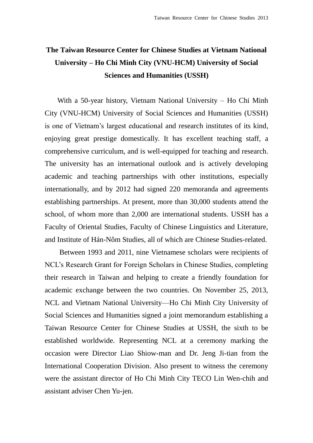## **The Taiwan Resource Center for Chinese Studies at Vietnam National University – Ho Chi Minh City (VNU-HCM) University of Social Sciences and Humanities (USSH)**

With a 50-year history, Vietnam National University – Ho Chi Minh City (VNU-HCM) University of Social Sciences and Humanities (USSH) is one of Vietnam's largest educational and research institutes of its kind, enjoying great prestige domestically. It has excellent teaching staff, a comprehensive curriculum, and is well-equipped for teaching and research. The university has an international outlook and is actively developing academic and teaching partnerships with other institutions, especially internationally, and by 2012 had signed 220 memoranda and agreements establishing partnerships. At present, more than 30,000 students attend the school, of whom more than 2,000 are international students. USSH has a Faculty of Oriental Studies, Faculty of Chinese Linguistics and Literature, and Institute of Hán-Nôm Studies, all of which are Chinese Studies-related.

Between 1993 and 2011, nine Vietnamese scholars were recipients of NCL's Research Grant for Foreign Scholars in Chinese Studies, completing their research in Taiwan and helping to create a friendly foundation for academic exchange between the two countries. On November 25, 2013, NCL and Vietnam National University—Ho Chi Minh City University of Social Sciences and Humanities signed a joint memorandum establishing a Taiwan Resource Center for Chinese Studies at USSH, the sixth to be established worldwide. Representing NCL at a ceremony marking the occasion were Director Liao Shiow-man and Dr. Jeng Ji-tian from the International Cooperation Division. Also present to witness the ceremony were the assistant director of Ho Chi Minh City TECO Lin Wen-chih and assistant adviser Chen Yu-jen.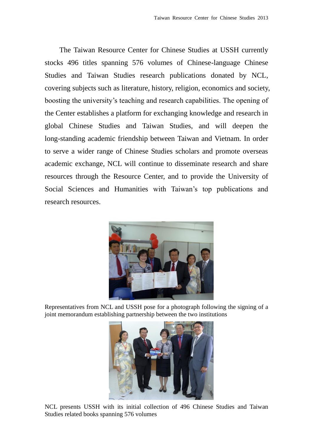The Taiwan Resource Center for Chinese Studies at USSH currently stocks 496 titles spanning 576 volumes of Chinese-language Chinese Studies and Taiwan Studies research publications donated by NCL, covering subjects such as literature, history, religion, economics and society, boosting the university's teaching and research capabilities. The opening of the Center establishes a platform for exchanging knowledge and research in global Chinese Studies and Taiwan Studies, and will deepen the long-standing academic friendship between Taiwan and Vietnam. In order to serve a wider range of Chinese Studies scholars and promote overseas academic exchange, NCL will continue to disseminate research and share resources through the Resource Center, and to provide the University of Social Sciences and Humanities with Taiwan's top publications and research resources.



Representatives from NCL and USSH pose for a photograph following the signing of a joint memorandum establishing partnership between the two institutions



NCL presents USSH with its initial collection of 496 Chinese Studies and Taiwan Studies related books spanning 576 volumes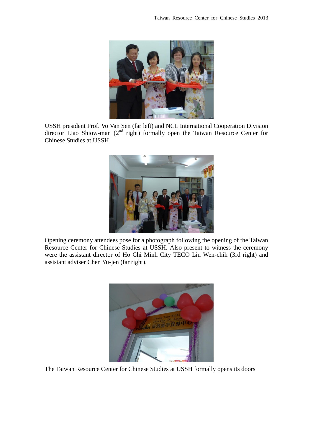

USSH president Prof. Vo Van Sen (far left) and NCL International Cooperation Division director Liao Shiow-man  $(2<sup>nd</sup>$  right) formally open the Taiwan Resource Center for Chinese Studies at USSH



Opening ceremony attendees pose for a photograph following the opening of the Taiwan Resource Center for Chinese Studies at USSH. Also present to witness the ceremony were the assistant director of Ho Chi Minh City TECO Lin Wen-chih (3rd right) and assistant adviser Chen Yu-jen (far right).



The Taiwan Resource Center for Chinese Studies at USSH formally opens its doors